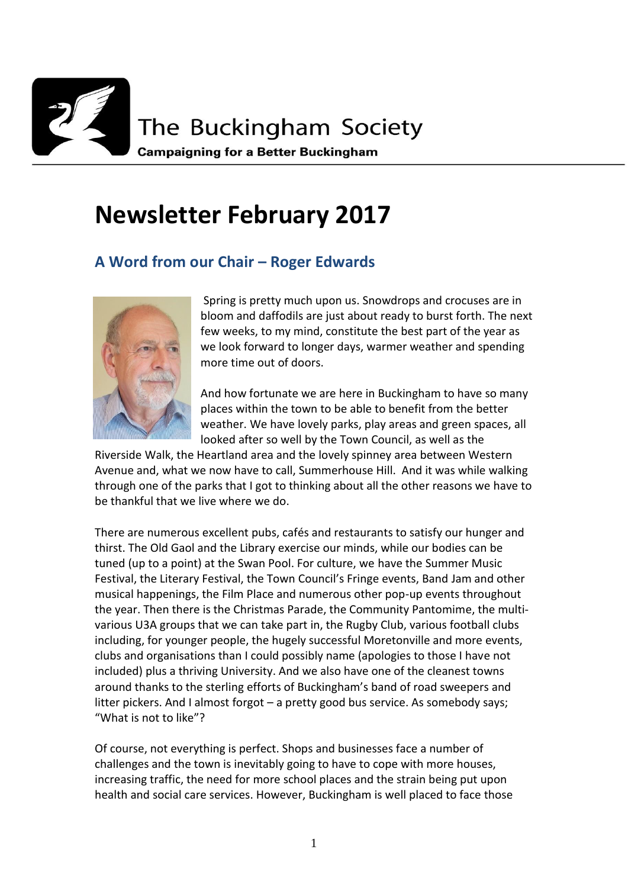

# **Newsletter February 2017**

## **A Word from our Chair – Roger Edwards**



Spring is pretty much upon us. Snowdrops and crocuses are in bloom and daffodils are just about ready to burst forth. The next few weeks, to my mind, constitute the best part of the year as we look forward to longer days, warmer weather and spending more time out of doors.

And how fortunate we are here in Buckingham to have so many places within the town to be able to benefit from the better weather. We have lovely parks, play areas and green spaces, all looked after so well by the Town Council, as well as the

Riverside Walk, the Heartland area and the lovely spinney area between Western Avenue and, what we now have to call, Summerhouse Hill. And it was while walking through one of the parks that I got to thinking about all the other reasons we have to be thankful that we live where we do.

There are numerous excellent pubs, cafés and restaurants to satisfy our hunger and thirst. The Old Gaol and the Library exercise our minds, while our bodies can be tuned (up to a point) at the Swan Pool. For culture, we have the Summer Music Festival, the Literary Festival, the Town Council's Fringe events, Band Jam and other musical happenings, the Film Place and numerous other pop-up events throughout the year. Then there is the Christmas Parade, the Community Pantomime, the multivarious U3A groups that we can take part in, the Rugby Club, various football clubs including, for younger people, the hugely successful Moretonville and more events, clubs and organisations than I could possibly name (apologies to those I have not included) plus a thriving University. And we also have one of the cleanest towns around thanks to the sterling efforts of Buckingham's band of road sweepers and litter pickers. And I almost forgot – a pretty good bus service. As somebody says; "What is not to like"?

Of course, not everything is perfect. Shops and businesses face a number of challenges and the town is inevitably going to have to cope with more houses, increasing traffic, the need for more school places and the strain being put upon health and social care services. However, Buckingham is well placed to face those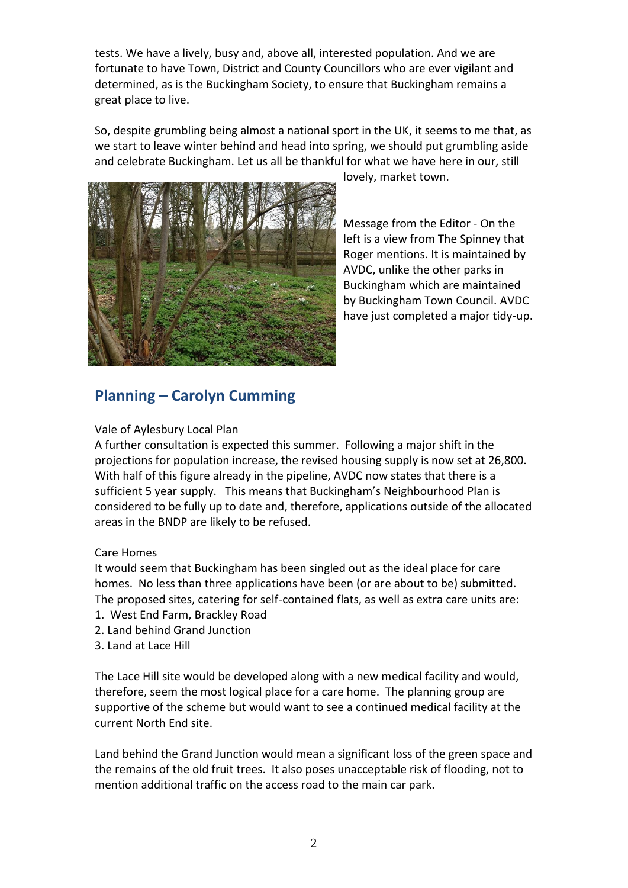tests. We have a lively, busy and, above all, interested population. And we are fortunate to have Town, District and County Councillors who are ever vigilant and determined, as is the Buckingham Society, to ensure that Buckingham remains a great place to live.

So, despite grumbling being almost a national sport in the UK, it seems to me that, as we start to leave winter behind and head into spring, we should put grumbling aside and celebrate Buckingham. Let us all be thankful for what we have here in our, still



lovely, market town.

Message from the Editor - On the left is a view from The Spinney that Roger mentions. It is maintained by AVDC, unlike the other parks in Buckingham which are maintained by Buckingham Town Council. AVDC have just completed a major tidy-up.

# **Planning – Carolyn Cumming**

### Vale of Aylesbury Local Plan

A further consultation is expected this summer. Following a major shift in the projections for population increase, the revised housing supply is now set at 26,800. With half of this figure already in the pipeline, AVDC now states that there is a sufficient 5 year supply. This means that Buckingham's Neighbourhood Plan is considered to be fully up to date and, therefore, applications outside of the allocated areas in the BNDP are likely to be refused.

#### Care Homes

It would seem that Buckingham has been singled out as the ideal place for care homes. No less than three applications have been (or are about to be) submitted. The proposed sites, catering for self-contained flats, as well as extra care units are:

- 1. West End Farm, Brackley Road
- 2. Land behind Grand Junction
- 3. Land at Lace Hill

The Lace Hill site would be developed along with a new medical facility and would, therefore, seem the most logical place for a care home. The planning group are supportive of the scheme but would want to see a continued medical facility at the current North End site.

Land behind the Grand Junction would mean a significant loss of the green space and the remains of the old fruit trees. It also poses unacceptable risk of flooding, not to mention additional traffic on the access road to the main car park.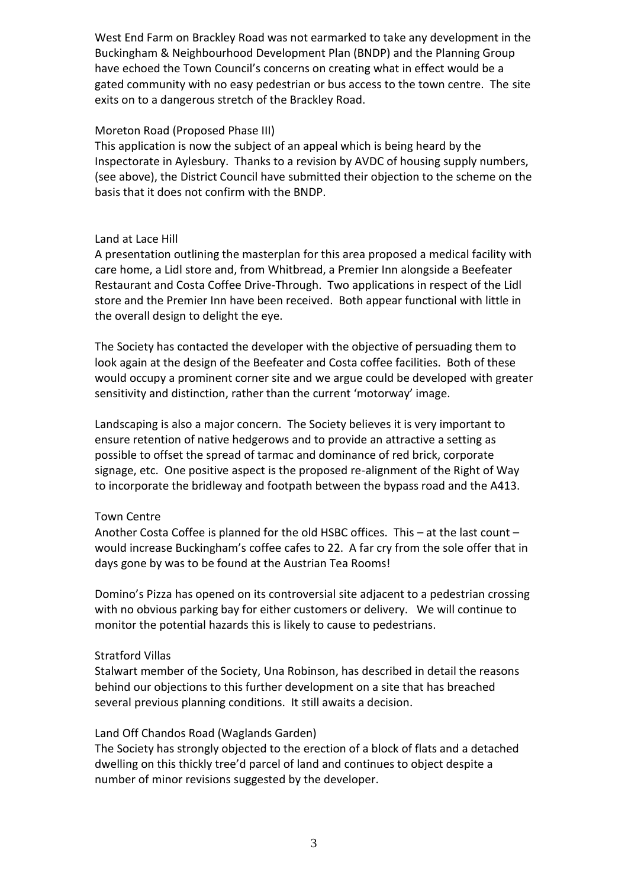West End Farm on Brackley Road was not earmarked to take any development in the Buckingham & Neighbourhood Development Plan (BNDP) and the Planning Group have echoed the Town Council's concerns on creating what in effect would be a gated community with no easy pedestrian or bus access to the town centre. The site exits on to a dangerous stretch of the Brackley Road.

### Moreton Road (Proposed Phase III)

This application is now the subject of an appeal which is being heard by the Inspectorate in Aylesbury. Thanks to a revision by AVDC of housing supply numbers, (see above), the District Council have submitted their objection to the scheme on the basis that it does not confirm with the BNDP.

### Land at Lace Hill

A presentation outlining the masterplan for this area proposed a medical facility with care home, a Lidl store and, from Whitbread, a Premier Inn alongside a Beefeater Restaurant and Costa Coffee Drive-Through. Two applications in respect of the Lidl store and the Premier Inn have been received. Both appear functional with little in the overall design to delight the eye.

The Society has contacted the developer with the objective of persuading them to look again at the design of the Beefeater and Costa coffee facilities. Both of these would occupy a prominent corner site and we argue could be developed with greater sensitivity and distinction, rather than the current 'motorway' image.

Landscaping is also a major concern. The Society believes it is very important to ensure retention of native hedgerows and to provide an attractive a setting as possible to offset the spread of tarmac and dominance of red brick, corporate signage, etc. One positive aspect is the proposed re-alignment of the Right of Way to incorporate the bridleway and footpath between the bypass road and the A413.

### Town Centre

Another Costa Coffee is planned for the old HSBC offices. This – at the last count – would increase Buckingham's coffee cafes to 22. A far cry from the sole offer that in days gone by was to be found at the Austrian Tea Rooms!

Domino's Pizza has opened on its controversial site adjacent to a pedestrian crossing with no obvious parking bay for either customers or delivery. We will continue to monitor the potential hazards this is likely to cause to pedestrians.

### Stratford Villas

Stalwart member of the Society, Una Robinson, has described in detail the reasons behind our objections to this further development on a site that has breached several previous planning conditions. It still awaits a decision.

### Land Off Chandos Road (Waglands Garden)

The Society has strongly objected to the erection of a block of flats and a detached dwelling on this thickly tree'd parcel of land and continues to object despite a number of minor revisions suggested by the developer.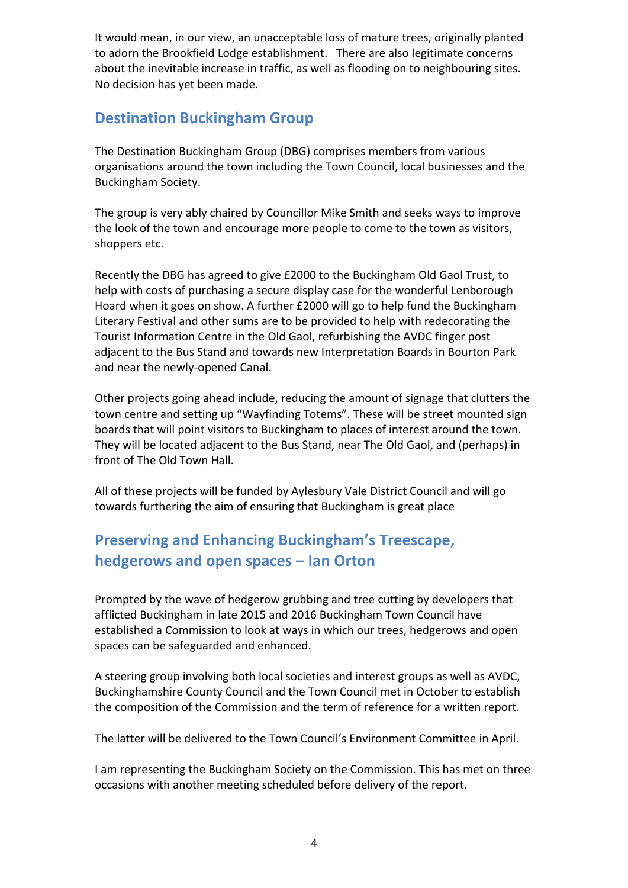It would mean, in our view, an unacceptable loss of mature trees, originally planted to adorn the Brookfield Lodge establishment. There are also legitimate concerns about the inevitable increase in traffic, as well as flooding on to neighbouring sites. No decision has yet been made.

# **Destination Buckingham Group**

The Destination Buckingham Group (DBG) comprises members from various organisations around the town including the Town Council, local businesses and the Buckingham Society.

The group is very ably chaired by Councillor Mike Smith and seeks ways to improve the look of the town and encourage more people to come to the town as visitors, shoppers etc.

Recently the DBG has agreed to give £2000 to the Buckingham Old Gaol Trust, to help with costs of purchasing a secure display case for the wonderful Lenborough Hoard when it goes on show. A further £2000 will go to help fund the Buckingham Literary Festival and other sums are to be provided to help with redecorating the Tourist Information Centre in the Old Gaol, refurbishing the AVDC finger post adjacent to the Bus Stand and towards new Interpretation Boards in Bourton Park and near the newly-opened Canal.

Other projects going ahead include, reducing the amount of signage that clutters the town centre and setting up "Wayfinding Totems". These will be street mounted sign boards that will point visitors to Buckingham to places of interest around the town. They will be located adjacent to the Bus Stand, near The Old Gaol, and (perhaps) in front of The Old Town Hall.

All of these projects will be funded by Aylesbury Vale District Council and will go towards furthering the aim of ensuring that Buckingham is great place

# **Preserving and Enhancing Buckingham's Treescape, hedgerows and open spaces – Ian Orton**

Prompted by the wave of hedgerow grubbing and tree cutting by developers that afflicted Buckingham in late 2015 and 2016 Buckingham Town Council have established a Commission to look at ways in which our trees, hedgerows and open spaces can be safeguarded and enhanced.

A steering group involving both local societies and interest groups as well as AVDC, Buckinghamshire County Council and the Town Council met in October to establish the composition of the Commission and the term of reference for a written report.

The latter will be delivered to the Town Council's Environment Committee in April.

I am representing the Buckingham Society on the Commission. This has met on three occasions with another meeting scheduled before delivery of the report.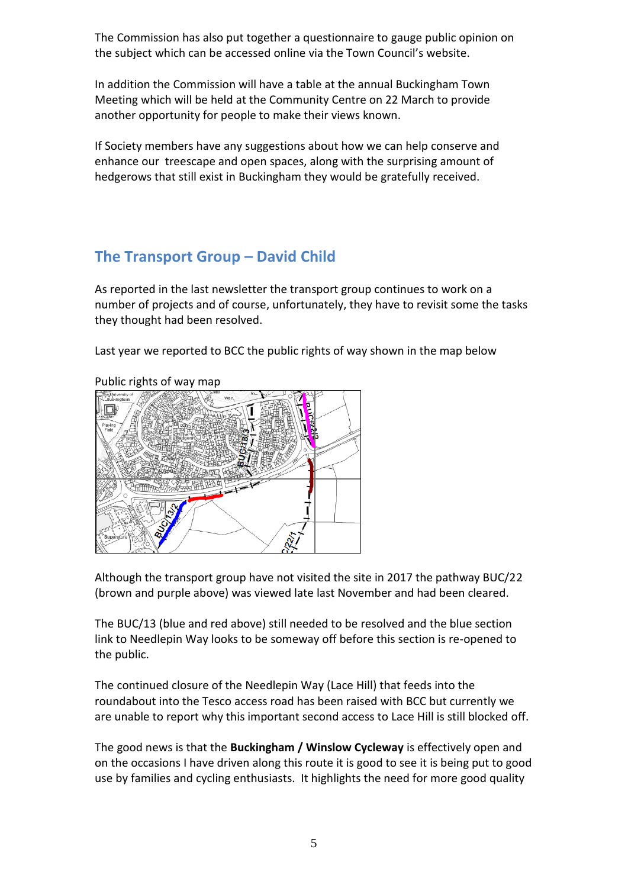The Commission has also put together a questionnaire to gauge public opinion on the subject which can be accessed online via the Town Council's website.

In addition the Commission will have a table at the annual Buckingham Town Meeting which will be held at the Community Centre on 22 March to provide another opportunity for people to make their views known.

If Society members have any suggestions about how we can help conserve and enhance our treescape and open spaces, along with the surprising amount of hedgerows that still exist in Buckingham they would be gratefully received.

# **The Transport Group – David Child**

As reported in the last newsletter the transport group continues to work on a number of projects and of course, unfortunately, they have to revisit some the tasks they thought had been resolved.

Last year we reported to BCC the public rights of way shown in the map below

### Public rights of way map



Although the transport group have not visited the site in 2017 the pathway BUC/22 (brown and purple above) was viewed late last November and had been cleared.

The BUC/13 (blue and red above) still needed to be resolved and the blue section link to Needlepin Way looks to be someway off before this section is re-opened to the public.

The continued closure of the Needlepin Way (Lace Hill) that feeds into the roundabout into the Tesco access road has been raised with BCC but currently we are unable to report why this important second access to Lace Hill is still blocked off.

The good news is that the **Buckingham / Winslow Cycleway** is effectively open and on the occasions I have driven along this route it is good to see it is being put to good use by families and cycling enthusiasts. It highlights the need for more good quality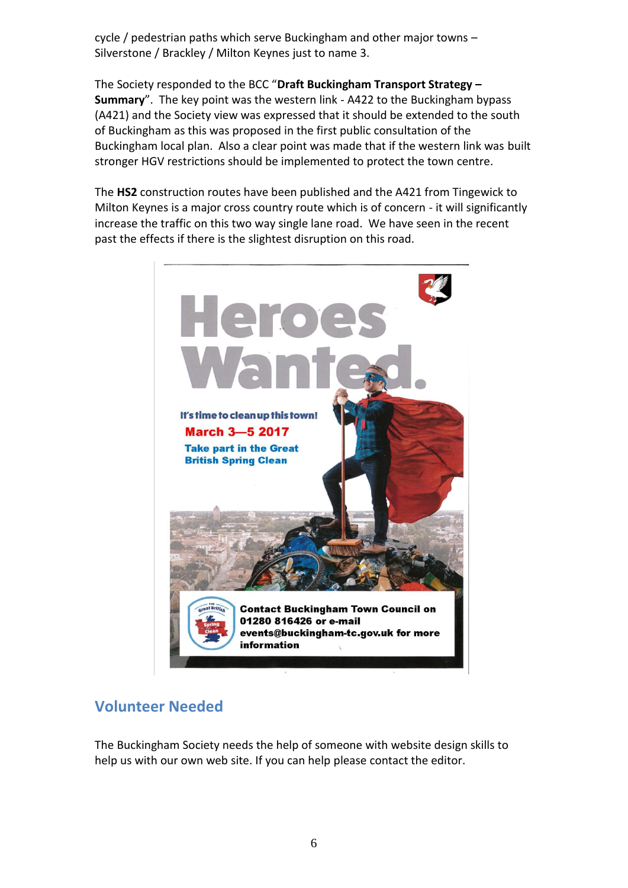cycle / pedestrian paths which serve Buckingham and other major towns – Silverstone / Brackley / Milton Keynes just to name 3.

The Society responded to the BCC "**Draft Buckingham Transport Strategy – Summary**". The key point was the western link - A422 to the Buckingham bypass (A421) and the Society view was expressed that it should be extended to the south of Buckingham as this was proposed in the first public consultation of the Buckingham local plan. Also a clear point was made that if the western link was built stronger HGV restrictions should be implemented to protect the town centre.

The **HS2** construction routes have been published and the A421 from Tingewick to Milton Keynes is a major cross country route which is of concern - it will significantly increase the traffic on this two way single lane road. We have seen in the recent past the effects if there is the slightest disruption on this road.



## **Volunteer Needed**

The Buckingham Society needs the help of someone with website design skills to help us with our own web site. If you can help please contact the editor.